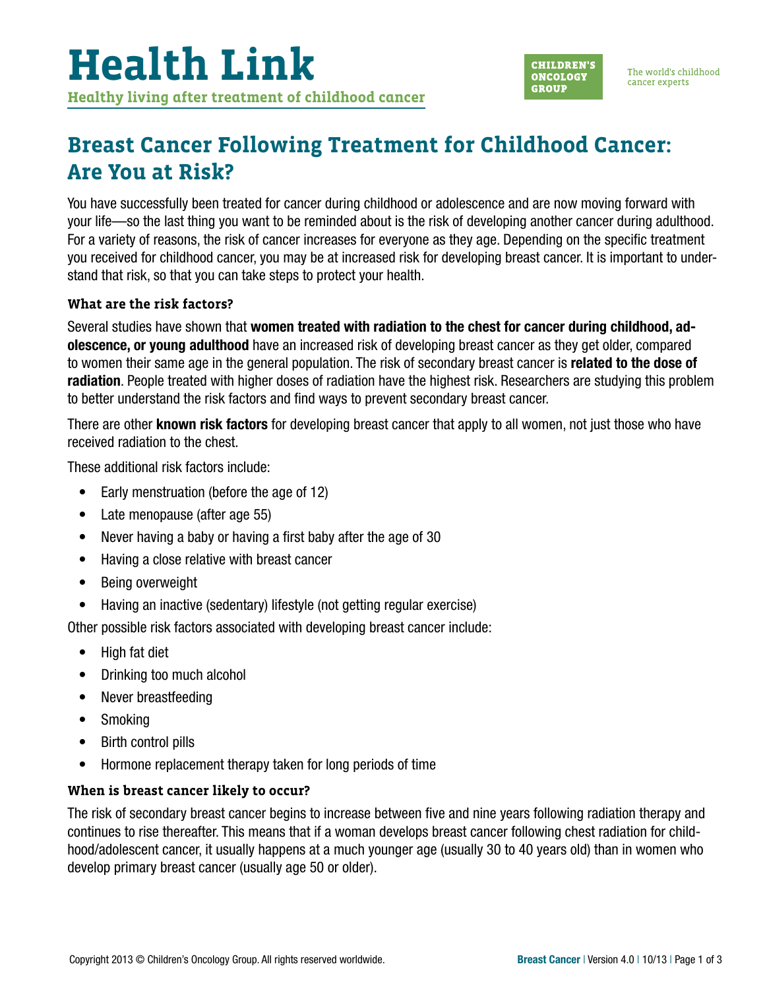

## **Breast Cancer Following Treatment for Childhood Cancer: Are You at Risk?**

You have successfully been treated for cancer during childhood or adolescence and are now moving forward with your life—so the last thing you want to be reminded about is the risk of developing another cancer during adulthood. For a variety of reasons, the risk of cancer increases for everyone as they age. Depending on the specific treatment you received for childhood cancer, you may be at increased risk for developing breast cancer. It is important to understand that risk, so that you can take steps to protect your health.

#### **What are the risk factors?**

Several studies have shown that women treated with radiation to the chest for cancer during childhood, adolescence, or young adulthood have an increased risk of developing breast cancer as they get older, compared to women their same age in the general population. The risk of secondary breast cancer is **related to the dose of** radiation. People treated with higher doses of radiation have the highest risk. Researchers are studying this problem to better understand the risk factors and find ways to prevent secondary breast cancer.

There are other **known risk factors** for developing breast cancer that apply to all women, not just those who have received radiation to the chest.

These additional risk factors include:

- Early menstruation (before the age of 12)
- Late menopause (after age 55)
- Never having a baby or having a first baby after the age of 30
- Having a close relative with breast cancer
- Being overweight
- Having an inactive (sedentary) lifestyle (not getting regular exercise)

Other possible risk factors associated with developing breast cancer include:

- High fat diet
- Drinking too much alcohol
- Never breastfeeding
- Smoking
- Birth control pills
- Hormone replacement therapy taken for long periods of time

#### **When is breast cancer likely to occur?**

The risk of secondary breast cancer begins to increase between five and nine years following radiation therapy and continues to rise thereafter. This means that if a woman develops breast cancer following chest radiation for childhood/adolescent cancer, it usually happens at a much younger age (usually 30 to 40 years old) than in women who develop primary breast cancer (usually age 50 or older).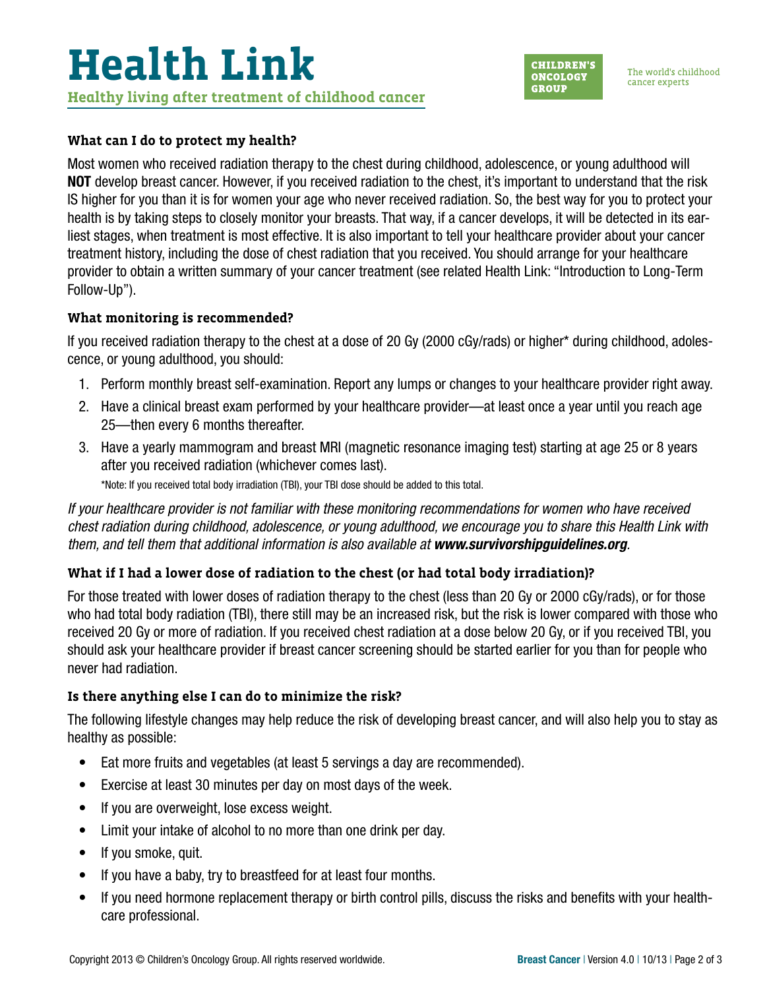#### **What can I do to protect my health?**

Most women who received radiation therapy to the chest during childhood, adolescence, or young adulthood will NOT develop breast cancer. However, if you received radiation to the chest, it's important to understand that the risk IS higher for you than it is for women your age who never received radiation. So, the best way for you to protect your health is by taking steps to closely monitor your breasts. That way, if a cancer develops, it will be detected in its earliest stages, when treatment is most effective. It is also important to tell your healthcare provider about your cancer treatment history, including the dose of chest radiation that you received. You should arrange for your healthcare provider to obtain a written summary of your cancer treatment (see related Health Link: "Introduction to Long-Term Follow-Up").

#### **What monitoring is recommended?**

If you received radiation therapy to the chest at a dose of 20 Gy (2000 cGy/rads) or higher\* during childhood, adolescence, or young adulthood, you should:

- 1. Perform monthly breast self-examination. Report any lumps or changes to your healthcare provider right away.
- 2. Have a clinical breast exam performed by your healthcare provider—at least once a year until you reach age 25—then every 6 months thereafter.
- 3. Have a yearly mammogram and breast MRI (magnetic resonance imaging test) starting at age 25 or 8 years after you received radiation (whichever comes last).

\*Note: If you received total body irradiation (TBI), your TBI dose should be added to this total.

*If your healthcare provider is not familiar with these monitoring recommendations for women who have received chest radiation during childhood, adolescence, or young adulthood, we encourage you to share this Health Link with them, and tell them that additional information is also available at [www.survivorshipguidelines.org](http://www.survivorshipguidelines.org).* 

### **What if I had a lower dose of radiation to the chest (or had total body irradiation)?**

For those treated with lower doses of radiation therapy to the chest (less than 20 Gy or 2000 cGy/rads), or for those who had total body radiation (TBI), there still may be an increased risk, but the risk is lower compared with those who received 20 Gy or more of radiation. If you received chest radiation at a dose below 20 Gy, or if you received TBI, you should ask your healthcare provider if breast cancer screening should be started earlier for you than for people who never had radiation.

#### **Is there anything else I can do to minimize the risk?**

The following lifestyle changes may help reduce the risk of developing breast cancer, and will also help you to stay as healthy as possible:

- Eat more fruits and vegetables (at least 5 servings a day are recommended).
- Exercise at least 30 minutes per day on most days of the week.
- If you are overweight, lose excess weight.
- Limit your intake of alcohol to no more than one drink per day.
- If you smoke, quit.
- If you have a baby, try to breastfeed for at least four months.
- If you need hormone replacement therapy or birth control pills, discuss the risks and benefits with your healthcare professional.